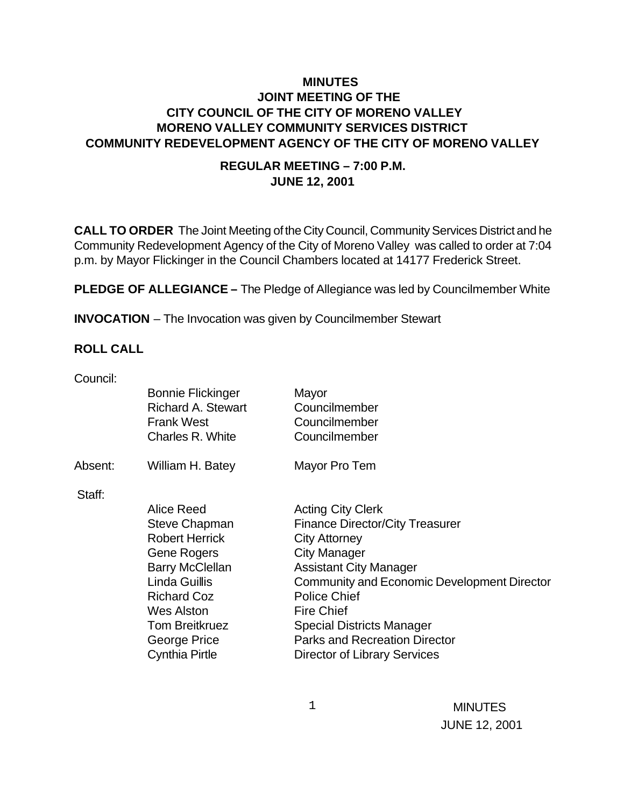# **MINUTES JOINT MEETING OF THE CITY COUNCIL OF THE CITY OF MORENO VALLEY MORENO VALLEY COMMUNITY SERVICES DISTRICT COMMUNITY REDEVELOPMENT AGENCY OF THE CITY OF MORENO VALLEY**

### **REGULAR MEETING – 7:00 P.M. JUNE 12, 2001**

**CALL TO ORDER** The Joint Meeting of the City Council, Community Services District and he Community Redevelopment Agency of the City of Moreno Valley was called to order at 7:04 p.m. by Mayor Flickinger in the Council Chambers located at 14177 Frederick Street.

**PLEDGE OF ALLEGIANCE –** The Pledge of Allegiance was led by Councilmember White

**INVOCATION** – The Invocation was given by Councilmember Stewart

#### **ROLL CALL**

| Council: |  |
|----------|--|
|          |  |

|         | <b>Bonnie Flickinger</b><br><b>Richard A. Stewart</b><br><b>Frank West</b><br>Charles R. White                                                                                                                                            | Mayor<br>Councilmember<br>Councilmember<br>Councilmember                                                                                                                                                                                                                                                                                                         |
|---------|-------------------------------------------------------------------------------------------------------------------------------------------------------------------------------------------------------------------------------------------|------------------------------------------------------------------------------------------------------------------------------------------------------------------------------------------------------------------------------------------------------------------------------------------------------------------------------------------------------------------|
| Absent: | William H. Batey                                                                                                                                                                                                                          | Mayor Pro Tem                                                                                                                                                                                                                                                                                                                                                    |
| Staff:  | Alice Reed<br><b>Steve Chapman</b><br><b>Robert Herrick</b><br><b>Gene Rogers</b><br><b>Barry McClellan</b><br>Linda Guillis<br><b>Richard Coz</b><br><b>Wes Alston</b><br><b>Tom Breitkruez</b><br>George Price<br><b>Cynthia Pirtle</b> | <b>Acting City Clerk</b><br><b>Finance Director/City Treasurer</b><br><b>City Attorney</b><br><b>City Manager</b><br><b>Assistant City Manager</b><br>Community and Economic Development Director<br><b>Police Chief</b><br><b>Fire Chief</b><br><b>Special Districts Manager</b><br><b>Parks and Recreation Director</b><br><b>Director of Library Services</b> |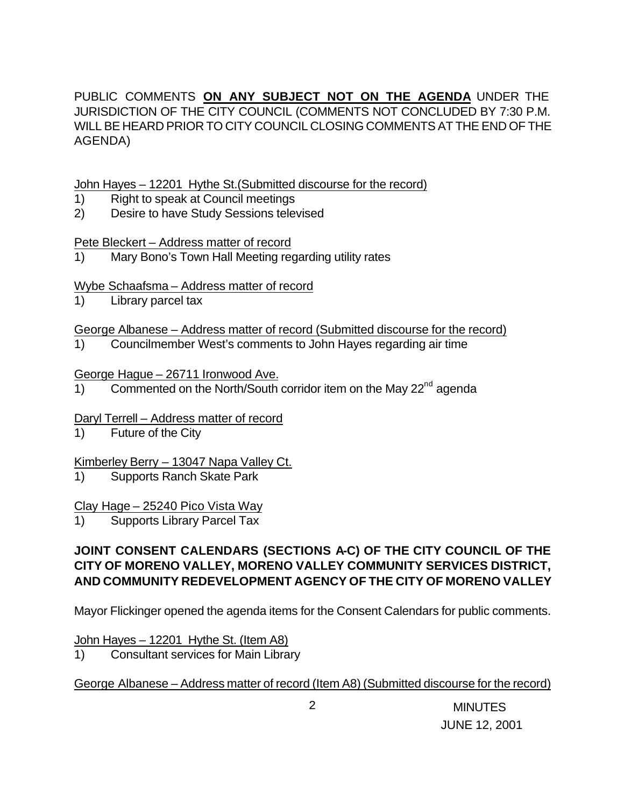PUBLIC COMMENTS **ON ANY SUBJECT NOT ON THE AGENDA** UNDER THE JURISDICTION OF THE CITY COUNCIL (COMMENTS NOT CONCLUDED BY 7:30 P.M. WILL BE HEARD PRIOR TO CITY COUNCIL CLOSING COMMENTS AT THE END OF THE AGENDA)

John Hayes – 12201 Hythe St.(Submitted discourse for the record)

- 1) Right to speak at Council meetings
- 2) Desire to have Study Sessions televised

Pete Bleckert – Address matter of record

1) Mary Bono's Town Hall Meeting regarding utility rates

Wybe Schaafsma – Address matter of record

1) Library parcel tax

George Albanese – Address matter of record (Submitted discourse for the record)

1) Councilmember West's comments to John Hayes regarding air time

George Hague – 26711 Ironwood Ave.

1) Commented on the North/South corridor item on the May  $22^{nd}$  agenda

Daryl Terrell – Address matter of record

1) Future of the City

Kimberley Berry – 13047 Napa Valley Ct.

1) Supports Ranch Skate Park

## Clay Hage – 25240 Pico Vista Way

1) Supports Library Parcel Tax

# **JOINT CONSENT CALENDARS (SECTIONS A-C) OF THE CITY COUNCIL OF THE CITY OF MORENO VALLEY, MORENO VALLEY COMMUNITY SERVICES DISTRICT, AND COMMUNITY REDEVELOPMENT AGENCY OF THE CITY OF MORENO VALLEY**

Mayor Flickinger opened the agenda items for the Consent Calendars for public comments.

## John Hayes – 12201 Hythe St. (Item A8)

1) Consultant services for Main Library

George Albanese – Address matter of record (Item A8) (Submitted discourse for the record)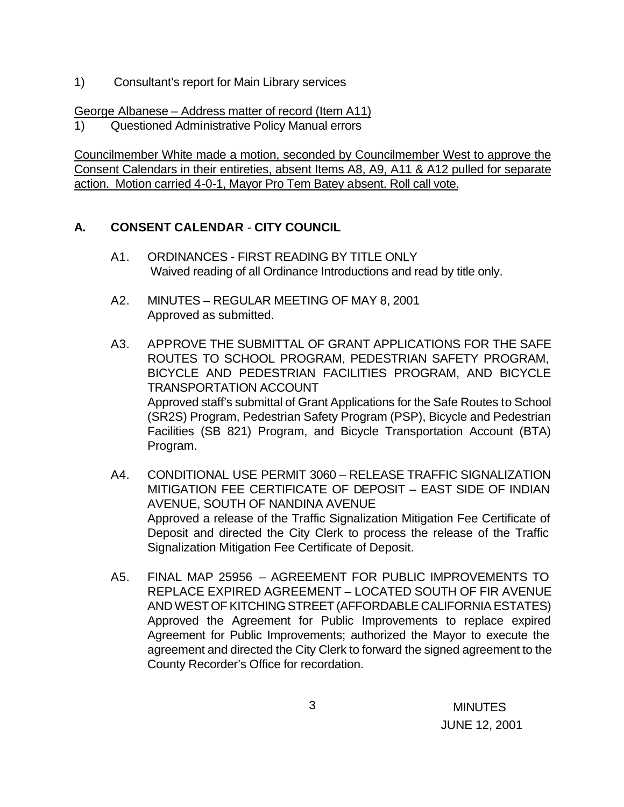1) Consultant's report for Main Library services

### George Albanese – Address matter of record (Item A11)

1) Questioned Administrative Policy Manual errors

Councilmember White made a motion, seconded by Councilmember West to approve the Consent Calendars in their entireties, absent Items A8, A9, A11 & A12 pulled for separate action. Motion carried 4-0-1, Mayor Pro Tem Batey absent. Roll call vote.

# **A. CONSENT CALENDAR** - **CITY COUNCIL**

- A1. ORDINANCES FIRST READING BY TITLE ONLY Waived reading of all Ordinance Introductions and read by title only.
- A2. MINUTES REGULAR MEETING OF MAY 8, 2001 Approved as submitted.
- A3. APPROVE THE SUBMITTAL OF GRANT APPLICATIONS FOR THE SAFE ROUTES TO SCHOOL PROGRAM, PEDESTRIAN SAFETY PROGRAM, BICYCLE AND PEDESTRIAN FACILITIES PROGRAM, AND BICYCLE TRANSPORTATION ACCOUNT Approved staff's submittal of Grant Applications for the Safe Routes to School (SR2S) Program, Pedestrian Safety Program (PSP), Bicycle and Pedestrian Facilities (SB 821) Program, and Bicycle Transportation Account (BTA) Program.
- A4. CONDITIONAL USE PERMIT 3060 RELEASE TRAFFIC SIGNALIZATION MITIGATION FEE CERTIFICATE OF DEPOSIT – EAST SIDE OF INDIAN AVENUE, SOUTH OF NANDINA AVENUE Approved a release of the Traffic Signalization Mitigation Fee Certificate of Deposit and directed the City Clerk to process the release of the Traffic Signalization Mitigation Fee Certificate of Deposit.
- A5. FINAL MAP 25956 AGREEMENT FOR PUBLIC IMPROVEMENTS TO REPLACE EXPIRED AGREEMENT – LOCATED SOUTH OF FIR AVENUE AND WEST OF KITCHING STREET (AFFORDABLE CALIFORNIA ESTATES) Approved the Agreement for Public Improvements to replace expired Agreement for Public Improvements; authorized the Mayor to execute the agreement and directed the City Clerk to forward the signed agreement to the County Recorder's Office for recordation.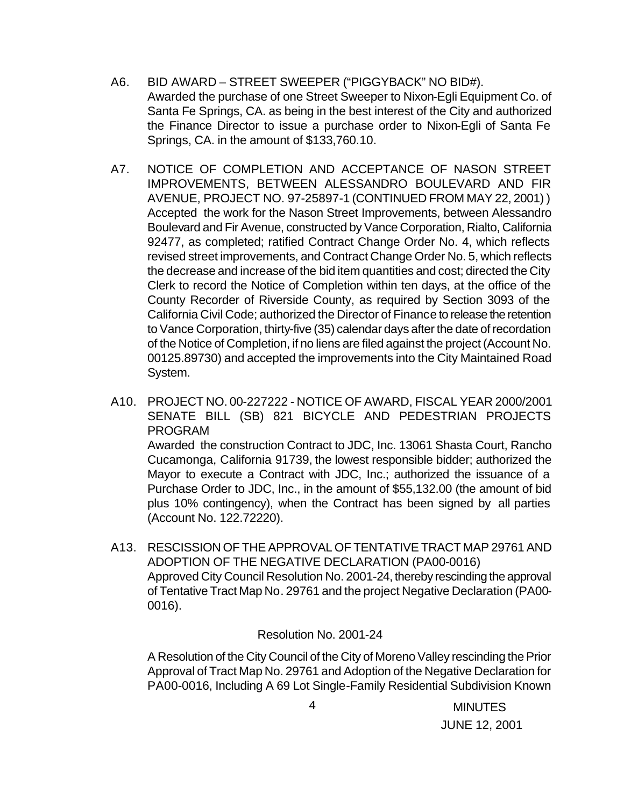- A6. BID AWARD STREET SWEEPER ("PIGGYBACK" NO BID#). Awarded the purchase of one Street Sweeper to Nixon-Egli Equipment Co. of Santa Fe Springs, CA. as being in the best interest of the City and authorized the Finance Director to issue a purchase order to Nixon-Egli of Santa Fe Springs, CA. in the amount of \$133,760.10.
- A7. NOTICE OF COMPLETION AND ACCEPTANCE OF NASON STREET IMPROVEMENTS, BETWEEN ALESSANDRO BOULEVARD AND FIR AVENUE, PROJECT NO. 97-25897-1 (CONTINUED FROM MAY 22, 2001) ) Accepted the work for the Nason Street Improvements, between Alessandro Boulevard and Fir Avenue, constructed by Vance Corporation, Rialto, California 92477, as completed; ratified Contract Change Order No. 4, which reflects revised street improvements, and Contract Change Order No. 5, which reflects the decrease and increase of the bid item quantities and cost; directed the City Clerk to record the Notice of Completion within ten days, at the office of the County Recorder of Riverside County, as required by Section 3093 of the California Civil Code; authorized the Director of Finance to release the retention to Vance Corporation, thirty-five (35) calendar days after the date of recordation of the Notice of Completion, if no liens are filed against the project (Account No. 00125.89730) and accepted the improvements into the City Maintained Road System.
- A10. PROJECT NO. 00-227222 NOTICE OF AWARD, FISCAL YEAR 2000/2001 SENATE BILL (SB) 821 BICYCLE AND PEDESTRIAN PROJECTS PROGRAM Awarded the construction Contract to JDC, Inc. 13061 Shasta Court, Rancho Cucamonga, California 91739, the lowest responsible bidder; authorized the Mayor to execute a Contract with JDC, Inc.; authorized the issuance of a Purchase Order to JDC, Inc., in the amount of \$55,132.00 (the amount of bid plus 10% contingency), when the Contract has been signed by all parties (Account No. 122.72220).
- A13. RESCISSION OF THE APPROVAL OF TENTATIVE TRACT MAP 29761 AND ADOPTION OF THE NEGATIVE DECLARATION (PA00-0016) Approved City Council Resolution No. 2001-24, thereby rescinding the approval of Tentative Tract Map No. 29761 and the project Negative Declaration (PA00- 0016).

#### Resolution No. 2001-24

A Resolution of the City Council of the City of Moreno Valley rescinding the Prior Approval of Tract Map No. 29761 and Adoption of the Negative Declaration for PA00-0016, Including A 69 Lot Single-Family Residential Subdivision Known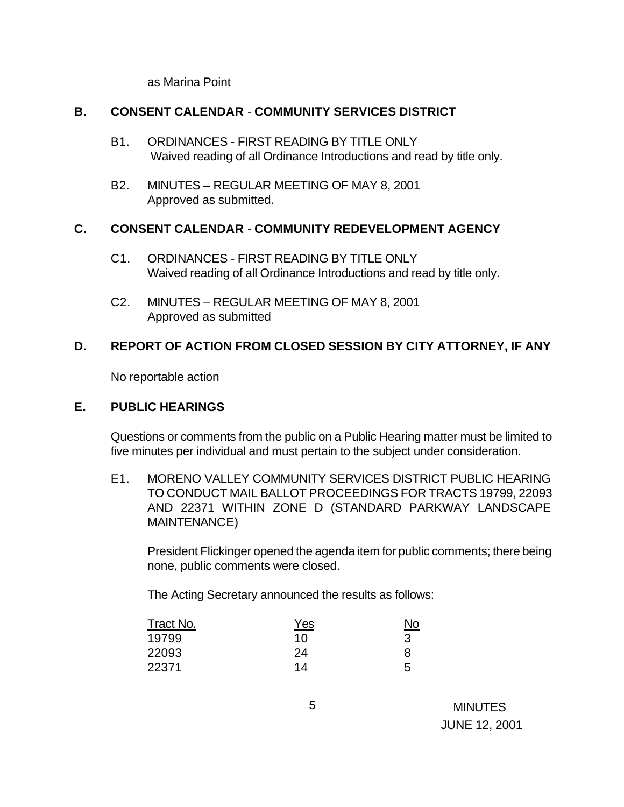as Marina Point

#### **B. CONSENT CALENDAR** - **COMMUNITY SERVICES DISTRICT**

- B1. ORDINANCES FIRST READING BY TITLE ONLY Waived reading of all Ordinance Introductions and read by title only.
- B2. MINUTES REGULAR MEETING OF MAY 8, 2001 Approved as submitted.

#### **C. CONSENT CALENDAR** - **COMMUNITY REDEVELOPMENT AGENCY**

- C1. ORDINANCES FIRST READING BY TITLE ONLY Waived reading of all Ordinance Introductions and read by title only.
- C2. MINUTES REGULAR MEETING OF MAY 8, 2001 Approved as submitted

## **D. REPORT OF ACTION FROM CLOSED SESSION BY CITY ATTORNEY, IF ANY**

No reportable action

#### **E. PUBLIC HEARINGS**

Questions or comments from the public on a Public Hearing matter must be limited to five minutes per individual and must pertain to the subject under consideration.

E1. MORENO VALLEY COMMUNITY SERVICES DISTRICT PUBLIC HEARING TO CONDUCT MAIL BALLOT PROCEEDINGS FOR TRACTS 19799, 22093 AND 22371 WITHIN ZONE D (STANDARD PARKWAY LANDSCAPE MAINTENANCE)

President Flickinger opened the agenda item for public comments; there being none, public comments were closed.

The Acting Secretary announced the results as follows:

| Tract No. | <u>Yes</u> | <u>No</u> |
|-----------|------------|-----------|
| 19799     | 10         |           |
| 22093     | 24         | 8         |
| 22371     | 14         | 5         |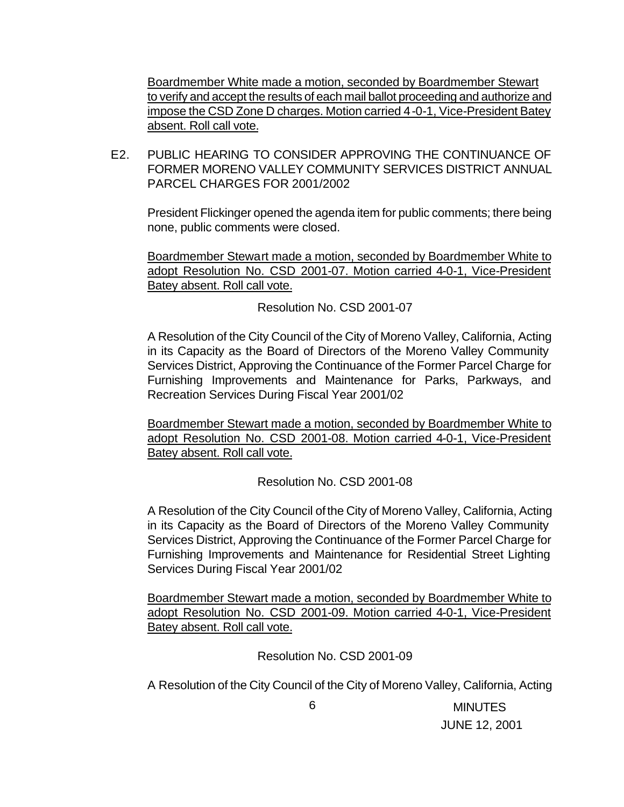Boardmember White made a motion, seconded by Boardmember Stewart to verify and accept the results of each mail ballot proceeding and authorize and impose the CSD Zone D charges. Motion carried 4-0-1, Vice-President Batey absent. Roll call vote.

E2. PUBLIC HEARING TO CONSIDER APPROVING THE CONTINUANCE OF FORMER MORENO VALLEY COMMUNITY SERVICES DISTRICT ANNUAL PARCEL CHARGES FOR 2001/2002

President Flickinger opened the agenda item for public comments; there being none, public comments were closed.

Boardmember Stewart made a motion, seconded by Boardmember White to adopt Resolution No. CSD 2001-07. Motion carried 4-0-1, Vice-President Batey absent. Roll call vote.

Resolution No. CSD 2001-07

A Resolution of the City Council of the City of Moreno Valley, California, Acting in its Capacity as the Board of Directors of the Moreno Valley Community Services District, Approving the Continuance of the Former Parcel Charge for Furnishing Improvements and Maintenance for Parks, Parkways, and Recreation Services During Fiscal Year 2001/02

Boardmember Stewart made a motion, seconded by Boardmember White to adopt Resolution No. CSD 2001-08. Motion carried 4-0-1, Vice-President Batey absent. Roll call vote.

Resolution No. CSD 2001-08

A Resolution of the City Council of the City of Moreno Valley, California, Acting in its Capacity as the Board of Directors of the Moreno Valley Community Services District, Approving the Continuance of the Former Parcel Charge for Furnishing Improvements and Maintenance for Residential Street Lighting Services During Fiscal Year 2001/02

Boardmember Stewart made a motion, seconded by Boardmember White to adopt Resolution No. CSD 2001-09. Motion carried 4-0-1, Vice-President Batey absent. Roll call vote.

Resolution No. CSD 2001-09

A Resolution of the City Council of the City of Moreno Valley, California, Acting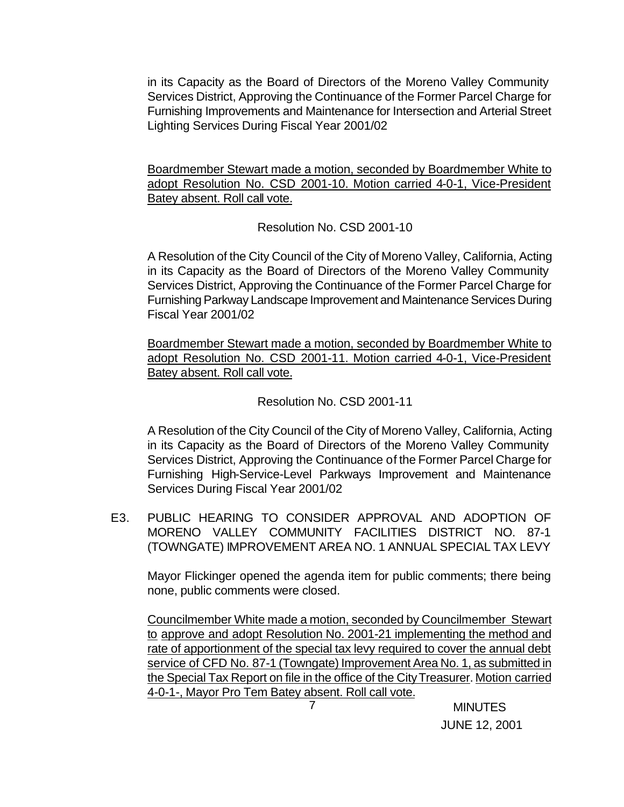in its Capacity as the Board of Directors of the Moreno Valley Community Services District, Approving the Continuance of the Former Parcel Charge for Furnishing Improvements and Maintenance for Intersection and Arterial Street Lighting Services During Fiscal Year 2001/02

Boardmember Stewart made a motion, seconded by Boardmember White to adopt Resolution No. CSD 2001-10. Motion carried 4-0-1, Vice-President Batey absent. Roll call vote.

Resolution No. CSD 2001-10

A Resolution of the City Council of the City of Moreno Valley, California, Acting in its Capacity as the Board of Directors of the Moreno Valley Community Services District, Approving the Continuance of the Former Parcel Charge for Furnishing Parkway Landscape Improvement and Maintenance Services During Fiscal Year 2001/02

Boardmember Stewart made a motion, seconded by Boardmember White to adopt Resolution No. CSD 2001-11. Motion carried 4-0-1, Vice-President Batey absent. Roll call vote.

Resolution No. CSD 2001-11

A Resolution of the City Council of the City of Moreno Valley, California, Acting in its Capacity as the Board of Directors of the Moreno Valley Community Services District, Approving the Continuance of the Former Parcel Charge for Furnishing High-Service-Level Parkways Improvement and Maintenance Services During Fiscal Year 2001/02

E3. PUBLIC HEARING TO CONSIDER APPROVAL AND ADOPTION OF MORENO VALLEY COMMUNITY FACILITIES DISTRICT NO. 87-1 (TOWNGATE) IMPROVEMENT AREA NO. 1 ANNUAL SPECIAL TAX LEVY

Mayor Flickinger opened the agenda item for public comments; there being none, public comments were closed.

Councilmember White made a motion, seconded by Councilmember Stewart to approve and adopt Resolution No. 2001-21 implementing the method and rate of apportionment of the special tax levy required to cover the annual debt service of CFD No. 87-1 (Towngate) Improvement Area No. 1, as submitted in the Special Tax Report on file in the office of the City Treasurer. Motion carried 4-0-1-, Mayor Pro Tem Batey absent. Roll call vote.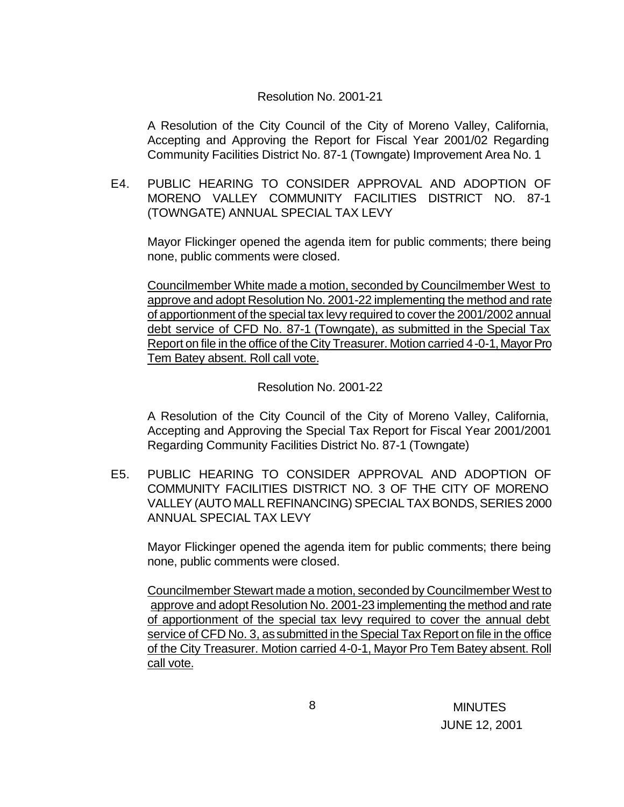#### Resolution No. 2001-21

A Resolution of the City Council of the City of Moreno Valley, California, Accepting and Approving the Report for Fiscal Year 2001/02 Regarding Community Facilities District No. 87-1 (Towngate) Improvement Area No. 1

E4. PUBLIC HEARING TO CONSIDER APPROVAL AND ADOPTION OF MORENO VALLEY COMMUNITY FACILITIES DISTRICT NO. 87-1 (TOWNGATE) ANNUAL SPECIAL TAX LEVY

Mayor Flickinger opened the agenda item for public comments; there being none, public comments were closed.

Councilmember White made a motion, seconded by Councilmember West to approve and adopt Resolution No. 2001-22 implementing the method and rate of apportionment of the special tax levy required to cover the 2001/2002 annual debt service of CFD No. 87-1 (Towngate), as submitted in the Special Tax Report on file in the office of the City Treasurer. Motion carried 4-0-1, Mayor Pro Tem Batey absent. Roll call vote.

Resolution No. 2001-22

A Resolution of the City Council of the City of Moreno Valley, California, Accepting and Approving the Special Tax Report for Fiscal Year 2001/2001 Regarding Community Facilities District No. 87-1 (Towngate)

E5. PUBLIC HEARING TO CONSIDER APPROVAL AND ADOPTION OF COMMUNITY FACILITIES DISTRICT NO. 3 OF THE CITY OF MORENO VALLEY (AUTO MALL REFINANCING) SPECIAL TAX BONDS, SERIES 2000 ANNUAL SPECIAL TAX LEVY

Mayor Flickinger opened the agenda item for public comments; there being none, public comments were closed.

Councilmember Stewart made a motion, seconded by Councilmember West to approve and adopt Resolution No. 2001-23 implementing the method and rate of apportionment of the special tax levy required to cover the annual debt service of CFD No. 3, as submitted in the Special Tax Report on file in the office of the City Treasurer. Motion carried 4-0-1, Mayor Pro Tem Batey absent. Roll call vote.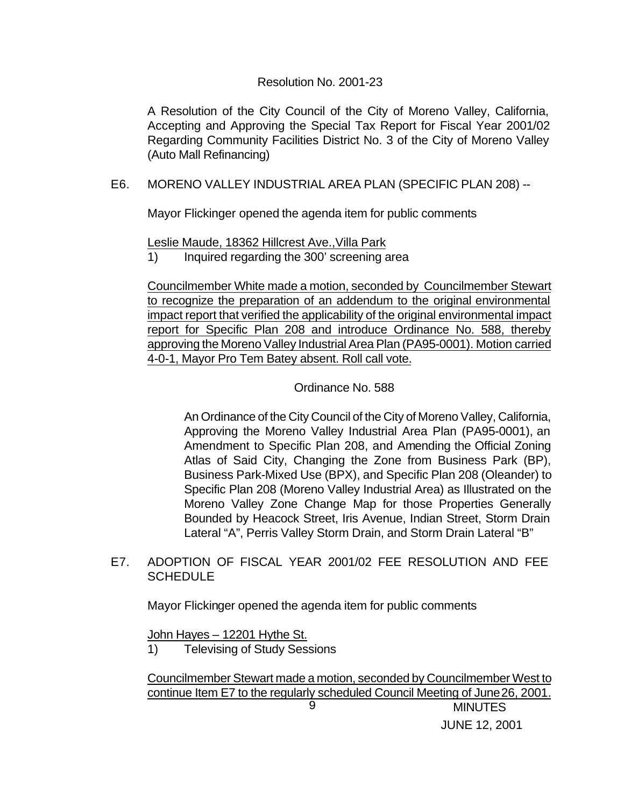#### Resolution No. 2001-23

A Resolution of the City Council of the City of Moreno Valley, California, Accepting and Approving the Special Tax Report for Fiscal Year 2001/02 Regarding Community Facilities District No. 3 of the City of Moreno Valley (Auto Mall Refinancing)

### E6. MORENO VALLEY INDUSTRIAL AREA PLAN (SPECIFIC PLAN 208) --

Mayor Flickinger opened the agenda item for public comments

Leslie Maude, 18362 Hillcrest Ave.,Villa Park

1) Inquired regarding the 300' screening area

Councilmember White made a motion, seconded by Councilmember Stewart to recognize the preparation of an addendum to the original environmental impact report that verified the applicability of the original environmental impact report for Specific Plan 208 and introduce Ordinance No. 588, thereby approving the Moreno Valley Industrial Area Plan (PA95-0001). Motion carried 4-0-1, Mayor Pro Tem Batey absent. Roll call vote.

#### Ordinance No. 588

An Ordinance of the City Council of the City of Moreno Valley, California, Approving the Moreno Valley Industrial Area Plan (PA95-0001), an Amendment to Specific Plan 208, and Amending the Official Zoning Atlas of Said City, Changing the Zone from Business Park (BP), Business Park-Mixed Use (BPX), and Specific Plan 208 (Oleander) to Specific Plan 208 (Moreno Valley Industrial Area) as Illustrated on the Moreno Valley Zone Change Map for those Properties Generally Bounded by Heacock Street, Iris Avenue, Indian Street, Storm Drain Lateral "A", Perris Valley Storm Drain, and Storm Drain Lateral "B"

### E7. ADOPTION OF FISCAL YEAR 2001/02 FEE RESOLUTION AND FEE **SCHEDULE**

Mayor Flickinger opened the agenda item for public comments

John Hayes – 12201 Hythe St.

1) Televising of Study Sessions

**MINUTES** 9 Councilmember Stewart made a motion, seconded by Councilmember West to continue Item E7 to the regularly scheduled Council Meeting of June 26, 2001.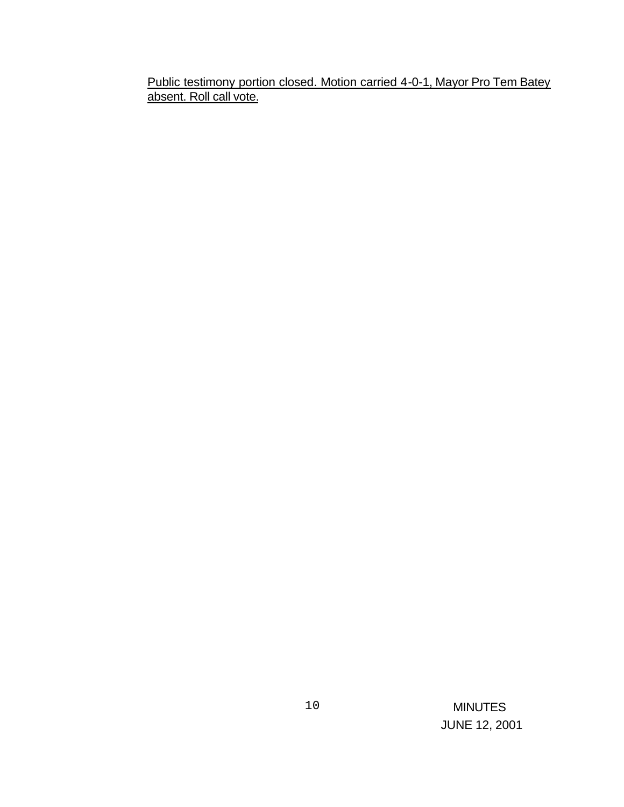Public testimony portion closed. Motion carried 4-0-1, Mayor Pro Tem Batey absent. Roll call vote.

> MINUTES JUNE 12, 2001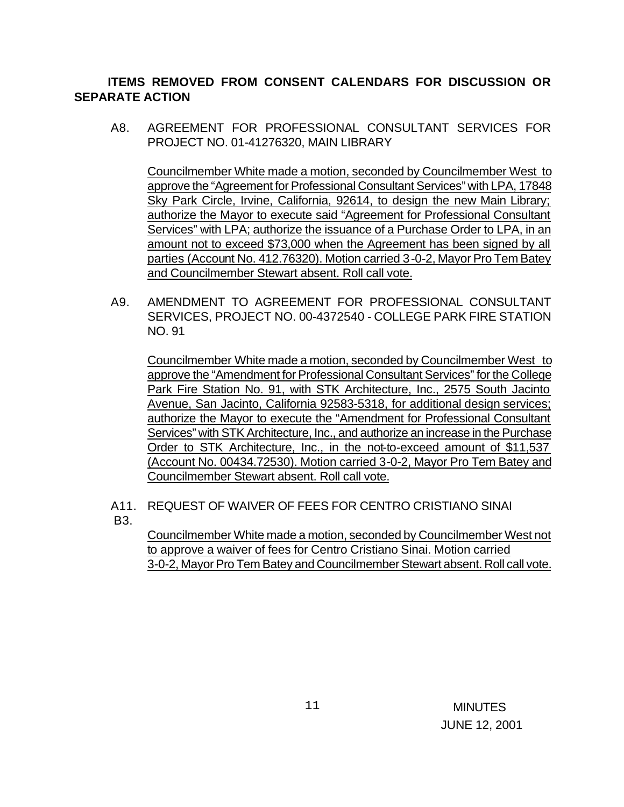# **ITEMS REMOVED FROM CONSENT CALENDARS FOR DISCUSSION OR SEPARATE ACTION**

A8. AGREEMENT FOR PROFESSIONAL CONSULTANT SERVICES FOR PROJECT NO. 01-41276320, MAIN LIBRARY

Councilmember White made a motion, seconded by Councilmember West to approve the "Agreement for Professional Consultant Services" with LPA, 17848 Sky Park Circle, Irvine, California, 92614, to design the new Main Library; authorize the Mayor to execute said "Agreement for Professional Consultant Services" with LPA; authorize the issuance of a Purchase Order to LPA, in an amount not to exceed \$73,000 when the Agreement has been signed by all parties (Account No. 412.76320). Motion carried 3-0-2, Mayor Pro Tem Batey and Councilmember Stewart absent. Roll call vote.

A9. AMENDMENT TO AGREEMENT FOR PROFESSIONAL CONSULTANT SERVICES, PROJECT NO. 00-4372540 - COLLEGE PARK FIRE STATION NO. 91

Councilmember White made a motion, seconded by Councilmember West to approve the "Amendment for Professional Consultant Services" for the College Park Fire Station No. 91, with STK Architecture, Inc., 2575 South Jacinto Avenue, San Jacinto, California 92583-5318, for additional design services; authorize the Mayor to execute the "Amendment for Professional Consultant Services" with STK Architecture, Inc., and authorize an increase in the Purchase Order to STK Architecture, Inc., in the not-to-exceed amount of \$11,537 (Account No. 00434.72530). Motion carried 3-0-2, Mayor Pro Tem Batey and Councilmember Stewart absent. Roll call vote.

A11. REQUEST OF WAIVER OF FEES FOR CENTRO CRISTIANO SINAI B3.

Councilmember White made a motion, seconded by Councilmember West not to approve a waiver of fees for Centro Cristiano Sinai. Motion carried 3-0-2, Mayor Pro Tem Batey and Councilmember Stewart absent. Roll call vote.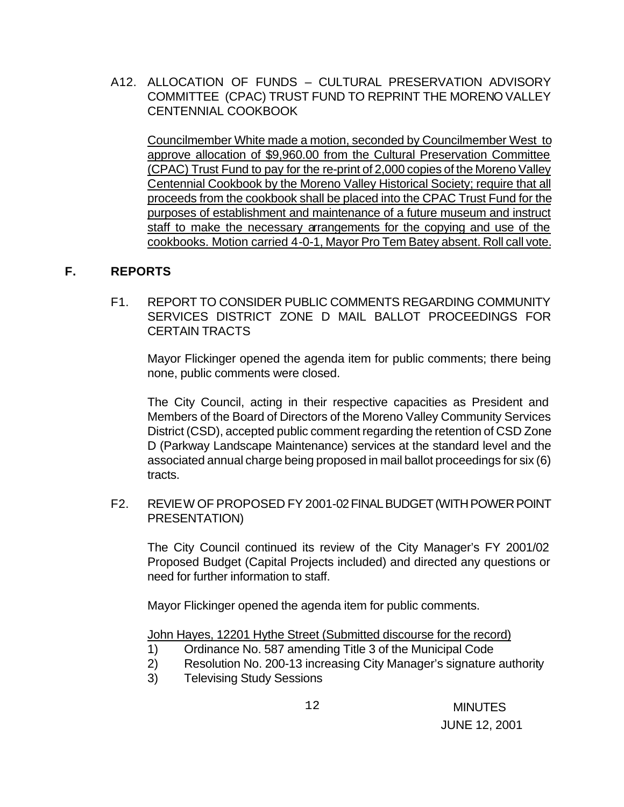A12. ALLOCATION OF FUNDS – CULTURAL PRESERVATION ADVISORY COMMITTEE (CPAC) TRUST FUND TO REPRINT THE MORENO VALLEY CENTENNIAL COOKBOOK

Councilmember White made a motion, seconded by Councilmember West to approve allocation of \$9,960.00 from the Cultural Preservation Committee (CPAC) Trust Fund to pay for the re-print of 2,000 copies of the Moreno Valley Centennial Cookbook by the Moreno Valley Historical Society; require that all proceeds from the cookbook shall be placed into the CPAC Trust Fund for the purposes of establishment and maintenance of a future museum and instruct staff to make the necessary arrangements for the copying and use of the cookbooks. Motion carried 4-0-1, Mayor Pro Tem Batey absent. Roll call vote.

## **F. REPORTS**

F1. REPORT TO CONSIDER PUBLIC COMMENTS REGARDING COMMUNITY SERVICES DISTRICT ZONE D MAIL BALLOT PROCEEDINGS FOR CERTAIN TRACTS

Mayor Flickinger opened the agenda item for public comments; there being none, public comments were closed.

The City Council, acting in their respective capacities as President and Members of the Board of Directors of the Moreno Valley Community Services District (CSD), accepted public comment regarding the retention of CSD Zone D (Parkway Landscape Maintenance) services at the standard level and the associated annual charge being proposed in mail ballot proceedings for six (6) tracts.

F2. REVIEW OF PROPOSED FY 2001-02 FINAL BUDGET (WITH POWER POINT PRESENTATION)

The City Council continued its review of the City Manager's FY 2001/02 Proposed Budget (Capital Projects included) and directed any questions or need for further information to staff.

Mayor Flickinger opened the agenda item for public comments.

John Hayes, 12201 Hythe Street (Submitted discourse for the record)

- 1) Ordinance No. 587 amending Title 3 of the Municipal Code
- 2) Resolution No. 200-13 increasing City Manager's signature authority
- 3) Televising Study Sessions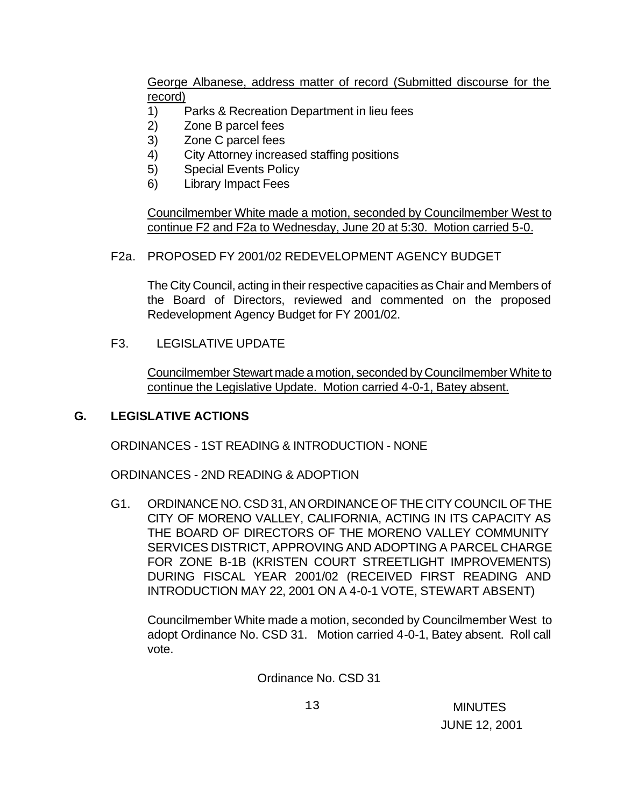George Albanese, address matter of record (Submitted discourse for the record)

- 1) Parks & Recreation Department in lieu fees
- 2) Zone B parcel fees
- 3) Zone C parcel fees
- 4) City Attorney increased staffing positions
- 5) Special Events Policy
- 6) Library Impact Fees

Councilmember White made a motion, seconded by Councilmember West to continue F2 and F2a to Wednesday, June 20 at 5:30. Motion carried 5-0.

# F2a. PROPOSED FY 2001/02 REDEVELOPMENT AGENCY BUDGET

The City Council, acting in their respective capacities as Chair and Members of the Board of Directors, reviewed and commented on the proposed Redevelopment Agency Budget for FY 2001/02.

# F3. LEGISLATIVE UPDATE

Councilmember Stewart made a motion, seconded by Councilmember White to continue the Legislative Update. Motion carried 4-0-1, Batey absent.

# **G. LEGISLATIVE ACTIONS**

ORDINANCES - 1ST READING & INTRODUCTION - NONE

ORDINANCES - 2ND READING & ADOPTION

G1. ORDINANCE NO. CSD 31, AN ORDINANCE OF THE CITY COUNCIL OF THE CITY OF MORENO VALLEY, CALIFORNIA, ACTING IN ITS CAPACITY AS THE BOARD OF DIRECTORS OF THE MORENO VALLEY COMMUNITY SERVICES DISTRICT, APPROVING AND ADOPTING A PARCEL CHARGE FOR ZONE B-1B (KRISTEN COURT STREETLIGHT IMPROVEMENTS) DURING FISCAL YEAR 2001/02 (RECEIVED FIRST READING AND INTRODUCTION MAY 22, 2001 ON A 4-0-1 VOTE, STEWART ABSENT)

Councilmember White made a motion, seconded by Councilmember West to adopt Ordinance No. CSD 31. Motion carried 4-0-1, Batey absent. Roll call vote.

Ordinance No. CSD 31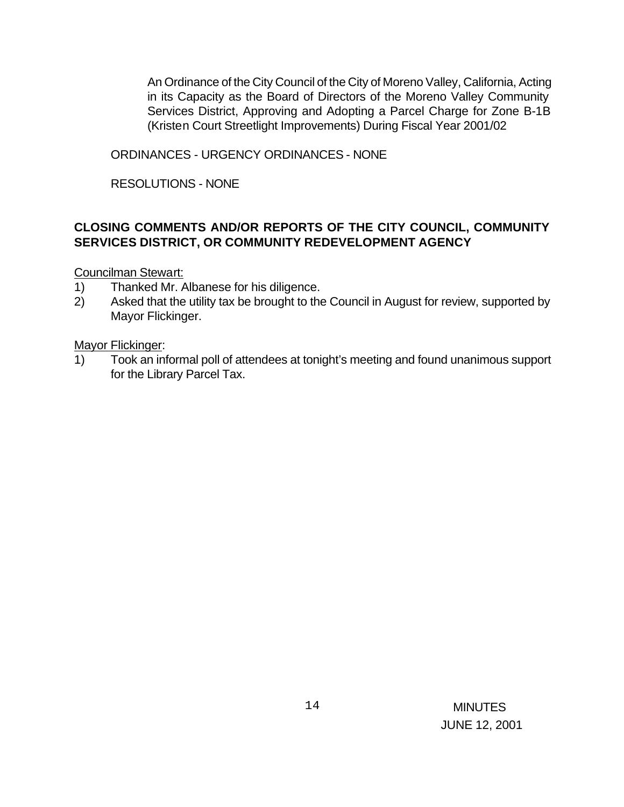An Ordinance of the City Council of the City of Moreno Valley, California, Acting in its Capacity as the Board of Directors of the Moreno Valley Community Services District, Approving and Adopting a Parcel Charge for Zone B-1B (Kristen Court Streetlight Improvements) During Fiscal Year 2001/02

ORDINANCES - URGENCY ORDINANCES - NONE

RESOLUTIONS - NONE

## **CLOSING COMMENTS AND/OR REPORTS OF THE CITY COUNCIL, COMMUNITY SERVICES DISTRICT, OR COMMUNITY REDEVELOPMENT AGENCY**

Councilman Stewart:

- 1) Thanked Mr. Albanese for his diligence.
- 2) Asked that the utility tax be brought to the Council in August for review, supported by Mayor Flickinger.

Mayor Flickinger:

1) Took an informal poll of attendees at tonight's meeting and found unanimous support for the Library Parcel Tax.